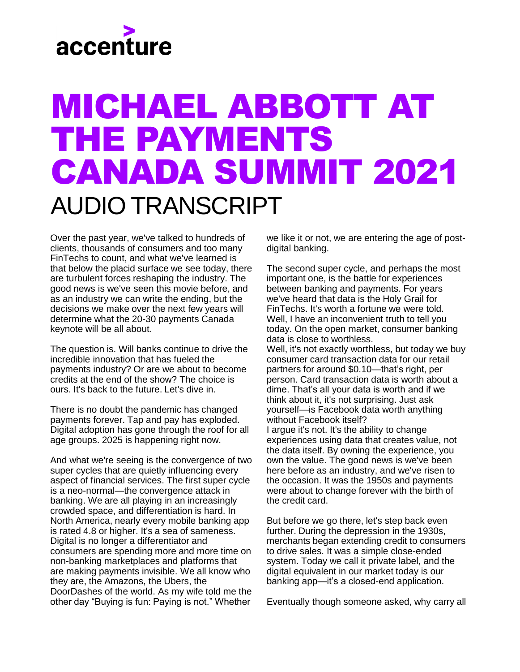## accenture

## MICHAEL ABBOTT AT THE PAYMENTS CANADA SUMMIT 2021 AUDIO TRANSCRIPT

Over the past year, we've talked to hundreds of clients, thousands of consumers and too many FinTechs to count, and what we've learned is that below the placid surface we see today, there are turbulent forces reshaping the industry. The good news is we've seen this movie before, and as an industry we can write the ending, but the decisions we make over the next few years will determine what the 20-30 payments Canada keynote will be all about.

The question is. Will banks continue to drive the incredible innovation that has fueled the payments industry? Or are we about to become credits at the end of the show? The choice is ours. It's back to the future. Let's dive in.

There is no doubt the pandemic has changed payments forever. Tap and pay has exploded. Digital adoption has gone through the roof for all age groups. 2025 is happening right now.

And what we're seeing is the convergence of two super cycles that are quietly influencing every aspect of financial services. The first super cycle is a neo-normal—the convergence attack in banking. We are all playing in an increasingly crowded space, and differentiation is hard. In North America, nearly every mobile banking app is rated 4.8 or higher. It's a sea of sameness. Digital is no longer a differentiator and consumers are spending more and more time on non-banking marketplaces and platforms that are making payments invisible. We all know who they are, the Amazons, the Ubers, the DoorDashes of the world. As my wife told me the other day "Buying is fun: Paying is not." Whether

we like it or not, we are entering the age of postdigital banking.

The second super cycle, and perhaps the most important one, is the battle for experiences between banking and payments. For years we've heard that data is the Holy Grail for FinTechs. It's worth a fortune we were told. Well, I have an inconvenient truth to tell you today. On the open market, consumer banking data is close to worthless.

Well, it's not exactly worthless, but today we buy consumer card transaction data for our retail partners for around \$0.10—that's right, per person. Card transaction data is worth about a dime. That's all your data is worth and if we think about it, it's not surprising. Just ask yourself—is Facebook data worth anything without Facebook itself?

I argue it's not. It's the ability to change experiences using data that creates value, not the data itself. By owning the experience, you own the value. The good news is we've been here before as an industry, and we've risen to the occasion. It was the 1950s and payments were about to change forever with the birth of the credit card.

But before we go there, let's step back even further. During the depression in the 1930s, merchants began extending credit to consumers to drive sales. It was a simple close-ended system. Today we call it private label, and the digital equivalent in our market today is our banking app—it's a closed-end application.

Eventually though someone asked, why carry all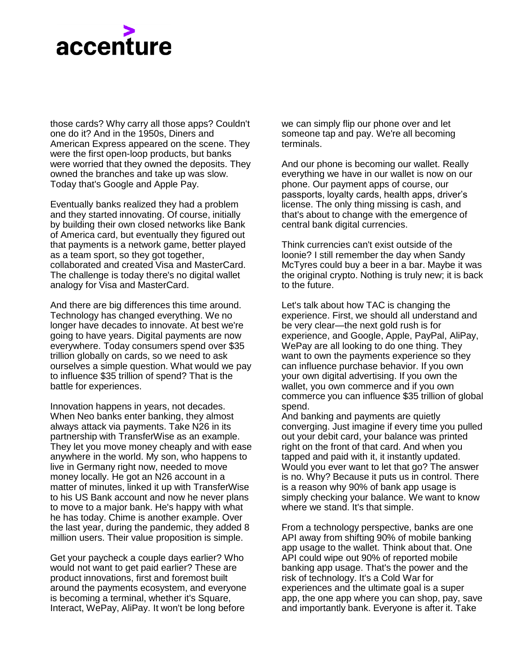## accenture

those cards? Why carry all those apps? Couldn't one do it? And in the 1950s, Diners and American Express appeared on the scene. They were the first open-loop products, but banks were worried that they owned the deposits. They owned the branches and take up was slow. Today that's Google and Apple Pay.

Eventually banks realized they had a problem and they started innovating. Of course, initially by building their own closed networks like Bank of America card, but eventually they figured out that payments is a network game, better played as a team sport, so they got together, collaborated and created Visa and MasterCard. The challenge is today there's no digital wallet analogy for Visa and MasterCard.

And there are big differences this time around. Technology has changed everything. We no longer have decades to innovate. At best we're going to have years. Digital payments are now everywhere. Today consumers spend over \$35 trillion globally on cards, so we need to ask ourselves a simple question. What would we pay to influence \$35 trillion of spend? That is the battle for experiences.

Innovation happens in years, not decades. When Neo banks enter banking, they almost always attack via payments. Take N26 in its partnership with TransferWise as an example. They let you move money cheaply and with ease anywhere in the world. My son, who happens to live in Germany right now, needed to move money locally. He got an N26 account in a matter of minutes, linked it up with TransferWise to his US Bank account and now he never plans to move to a major bank. He's happy with what he has today. Chime is another example. Over the last year, during the pandemic, they added 8 million users. Their value proposition is simple.

Get your paycheck a couple days earlier? Who would not want to get paid earlier? These are product innovations, first and foremost built around the payments ecosystem, and everyone is becoming a terminal, whether it's Square, Interact, WePay, AliPay. It won't be long before

we can simply flip our phone over and let someone tap and pay. We're all becoming terminals.

And our phone is becoming our wallet. Really everything we have in our wallet is now on our phone. Our payment apps of course, our passports, loyalty cards, health apps, driver's license. The only thing missing is cash, and that's about to change with the emergence of central bank digital currencies.

Think currencies can't exist outside of the loonie? I still remember the day when Sandy McTyres could buy a beer in a bar. Maybe it was the original crypto. Nothing is truly new; it is back to the future.

Let's talk about how TAC is changing the experience. First, we should all understand and be very clear—the next gold rush is for experience, and Google, Apple, PayPal, AliPay, WePay are all looking to do one thing. They want to own the payments experience so they can influence purchase behavior. If you own your own digital advertising. If you own the wallet, you own commerce and if you own commerce you can influence \$35 trillion of global spend.

And banking and payments are quietly converging. Just imagine if every time you pulled out your debit card, your balance was printed right on the front of that card. And when you tapped and paid with it, it instantly updated. Would you ever want to let that go? The answer is no. Why? Because it puts us in control. There is a reason why 90% of bank app usage is simply checking your balance. We want to know where we stand. It's that simple.

From a technology perspective, banks are one API away from shifting 90% of mobile banking app usage to the wallet. Think about that. One API could wipe out 90% of reported mobile banking app usage. That's the power and the risk of technology. It's a Cold War for experiences and the ultimate goal is a super app, the one app where you can shop, pay, save and importantly bank. Everyone is after it. Take